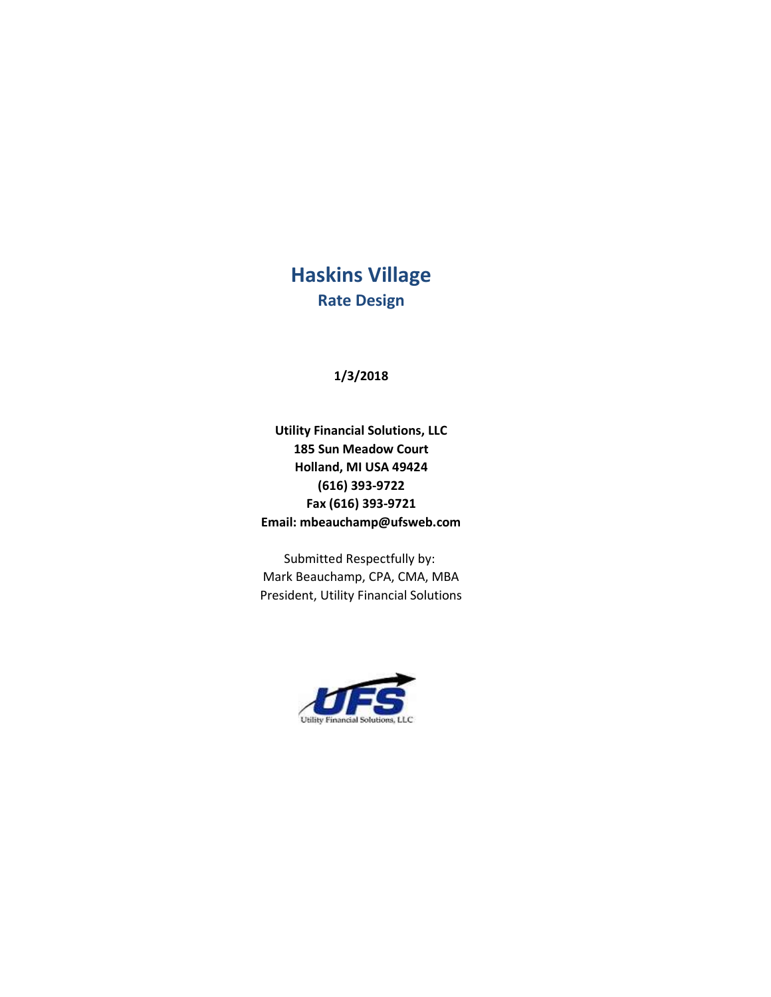# Haskins Village Rate Design

1/3/2018

Utility Financial Solutions, LLC 185 Sun Meadow Court Holland, MI USA 49424 (616) 393-9722 Fax (616) 393-9721 Email: mbeauchamp@ufsweb.com

Submitted Respectfully by: Mark Beauchamp, CPA, CMA, MBA President, Utility Financial Solutions

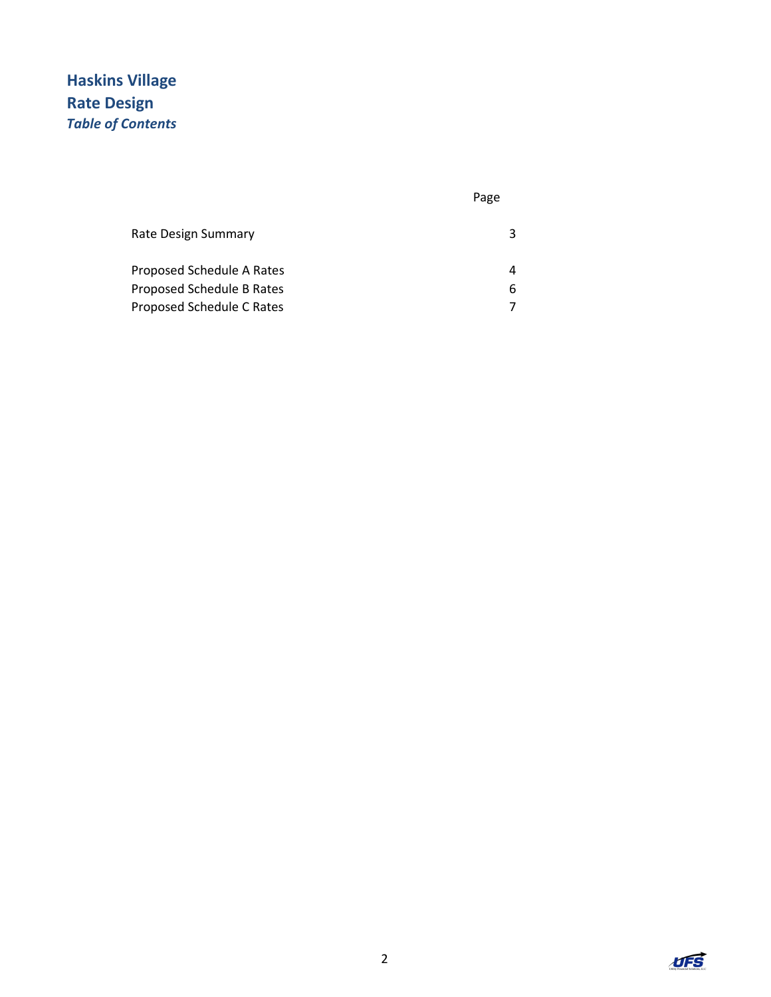# Haskins Village Rate Design Table of Contents

#### Page

| Rate Design Summary       |    |
|---------------------------|----|
| Proposed Schedule A Rates |    |
| Proposed Schedule B Rates | 6. |
| Proposed Schedule C Rates |    |

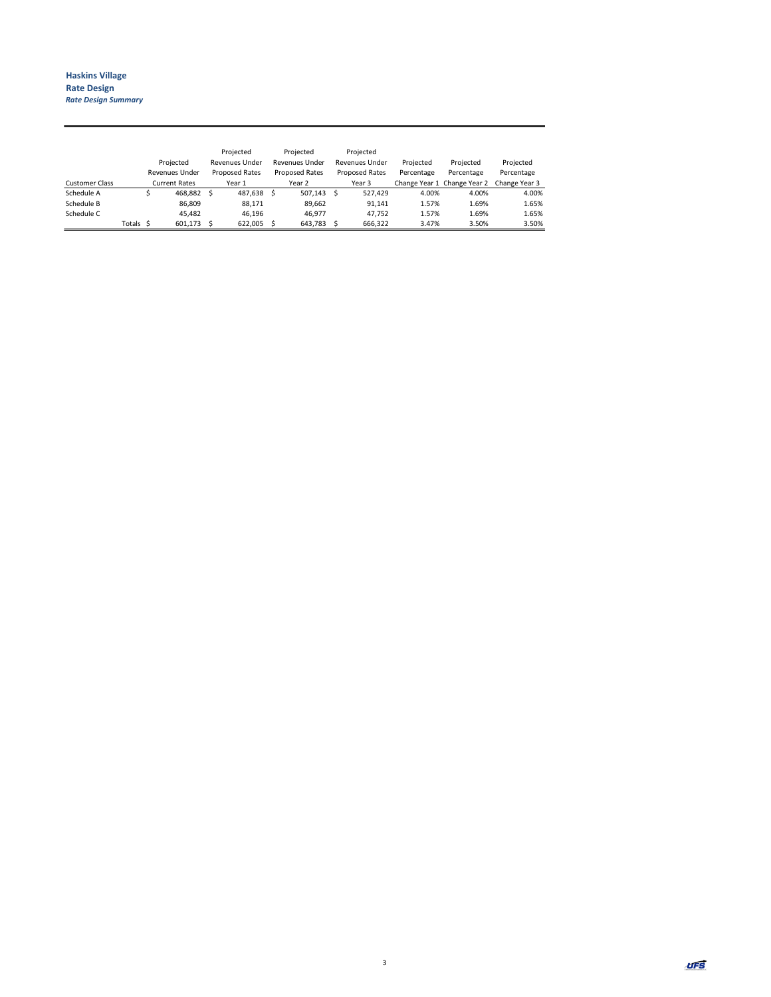|                       |          |                       | Projected             |   | Projected             |  | Projected      |            |                             |               |
|-----------------------|----------|-----------------------|-----------------------|---|-----------------------|--|----------------|------------|-----------------------------|---------------|
|                       |          | Projected             | <b>Revenues Under</b> |   | Revenues Under        |  | Revenues Under | Projected  | Projected                   | Projected     |
|                       |          | <b>Revenues Under</b> | <b>Proposed Rates</b> |   | <b>Proposed Rates</b> |  | Proposed Rates | Percentage | Percentage                  | Percentage    |
| <b>Customer Class</b> |          | <b>Current Rates</b>  | Year 1                |   | Year 2                |  | Year 3         |            | Change Year 1 Change Year 2 | Change Year 3 |
| Schedule A            |          | 468.882 \$            | 487.638               | S | 507.143 \$            |  | 527.429        | 4.00%      | 4.00%                       | 4.00%         |
| Schedule B            |          | 86,809                | 88,171                |   | 89,662                |  | 91,141         | 1.57%      | 1.69%                       | 1.65%         |
| Schedule C            |          | 45.482                | 46.196                |   | 46.977                |  | 47.752         | 1.57%      | 1.69%                       | 1.65%         |
|                       | Totals S | 601.173               | 622.005               |   | 643.783               |  | 666.322        | 3.47%      | 3.50%                       | 3.50%         |

3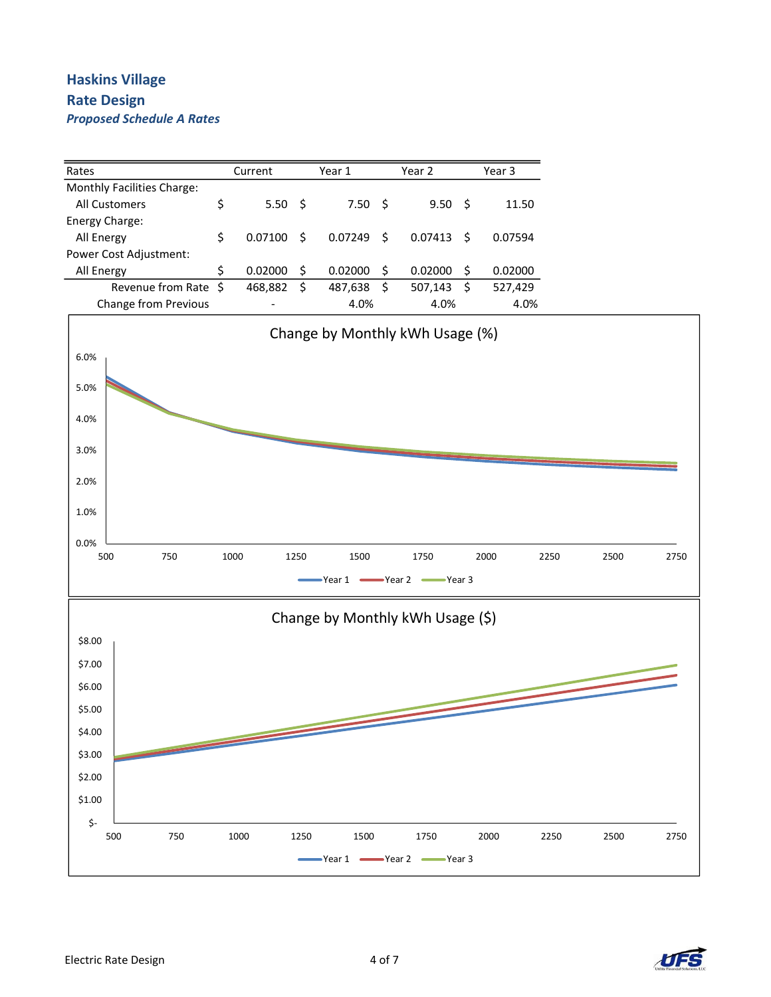### Haskins Village Rate Design Proposed Schedule A Rates



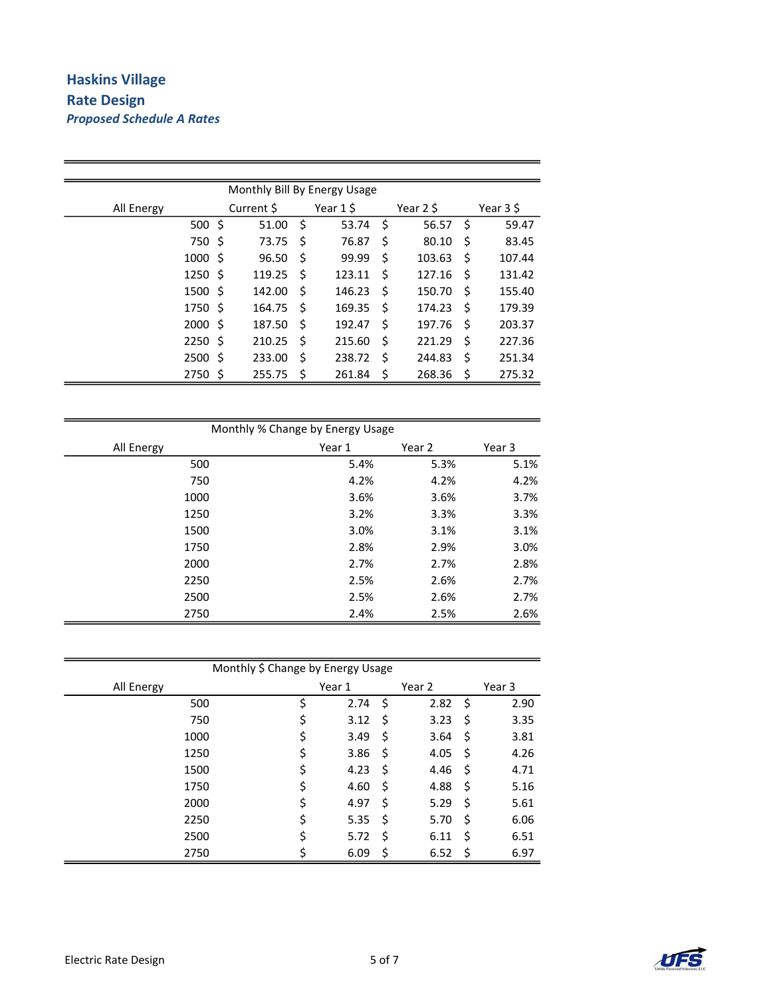## Haskins Village Rate Design Proposed Schedule A Rates

۰

| Monthly Bill By Energy Usage |      |     |            |           |        |    |           |           |        |  |  |  |
|------------------------------|------|-----|------------|-----------|--------|----|-----------|-----------|--------|--|--|--|
| All Energy                   |      |     | Current \$ | Year 1 \$ |        |    | Year 2 \$ | Year 3 \$ |        |  |  |  |
|                              | 500  | -\$ | 51.00      | Ś         | 53.74  | \$ | 56.57     | \$        | 59.47  |  |  |  |
|                              | 750  | -\$ | 73.75      | Ś         | 76.87  | \$ | 80.10     | \$        | 83.45  |  |  |  |
|                              | 1000 | -S  | 96.50      | \$        | 99.99  | \$ | 103.63    | Ś         | 107.44 |  |  |  |
|                              | 1250 | - S | 119.25     | Ŝ         | 123.11 | \$ | 127.16    | \$        | 131.42 |  |  |  |
|                              | 1500 | - S | 142.00     | Ŝ         | 146.23 | \$ | 150.70    | S         | 155.40 |  |  |  |
|                              | 1750 | - S | 164.75     | Ŝ         | 169.35 | \$ | 174.23    | S         | 179.39 |  |  |  |
|                              | 2000 | - S | 187.50     | Ś         | 192.47 | \$ | 197.76    | \$        | 203.37 |  |  |  |
|                              | 2250 | -\$ | 210.25     | Ś         | 215.60 | \$ | 221.29    | \$        | 227.36 |  |  |  |
|                              | 2500 | Ŝ.  | 233.00     | Ś         | 238.72 | \$ | 244.83    | \$        | 251.34 |  |  |  |
|                              | 2750 | - S | 255.75     | \$        | 261.84 | \$ | 268.36    | \$        | 275.32 |  |  |  |

| Monthly % Change by Energy Usage |        |        |        |  |  |  |  |  |  |
|----------------------------------|--------|--------|--------|--|--|--|--|--|--|
| All Energy                       | Year 1 | Year 2 | Year 3 |  |  |  |  |  |  |
| 500                              | 5.4%   | 5.3%   | 5.1%   |  |  |  |  |  |  |
| 750                              | 4.2%   | 4.2%   | 4.2%   |  |  |  |  |  |  |
| 1000                             | 3.6%   | 3.6%   | 3.7%   |  |  |  |  |  |  |
| 1250                             | 3.2%   | 3.3%   | 3.3%   |  |  |  |  |  |  |
| 1500                             | 3.0%   | 3.1%   | 3.1%   |  |  |  |  |  |  |
| 1750                             | 2.8%   | 2.9%   | 3.0%   |  |  |  |  |  |  |
| 2000                             | 2.7%   | 2.7%   | 2.8%   |  |  |  |  |  |  |
| 2250                             | 2.5%   | 2.6%   | 2.7%   |  |  |  |  |  |  |
| 2500                             | 2.5%   | 2.6%   | 2.7%   |  |  |  |  |  |  |
| 2750                             | 2.4%   | 2.5%   | 2.6%   |  |  |  |  |  |  |

| Monthly \$ Change by Energy Usage |            |     |        |            |
|-----------------------------------|------------|-----|--------|------------|
| All Energy                        | Year 1     |     | Year 2 | Year 3     |
| 500                               | \$<br>2.74 | -\$ | 2.82   | \$<br>2.90 |
| 750                               | \$<br>3.12 | \$  | 3.23   | \$<br>3.35 |
| 1000                              | \$<br>3.49 | \$  | 3.64   | \$<br>3.81 |
| 1250                              | \$<br>3.86 | -\$ | 4.05   | \$<br>4.26 |
| 1500                              | \$<br>4.23 | -\$ | 4.46   | \$<br>4.71 |
| 1750                              | \$<br>4.60 | \$  | 4.88   | \$<br>5.16 |
| 2000                              | \$<br>4.97 | \$  | 5.29   | \$<br>5.61 |
| 2250                              | \$<br>5.35 | \$  | 5.70   | \$<br>6.06 |
| 2500                              | \$<br>5.72 | Ś   | 6.11   | \$<br>6.51 |
| 2750                              | 6.09       | \$  | 6.52   | \$<br>6.97 |

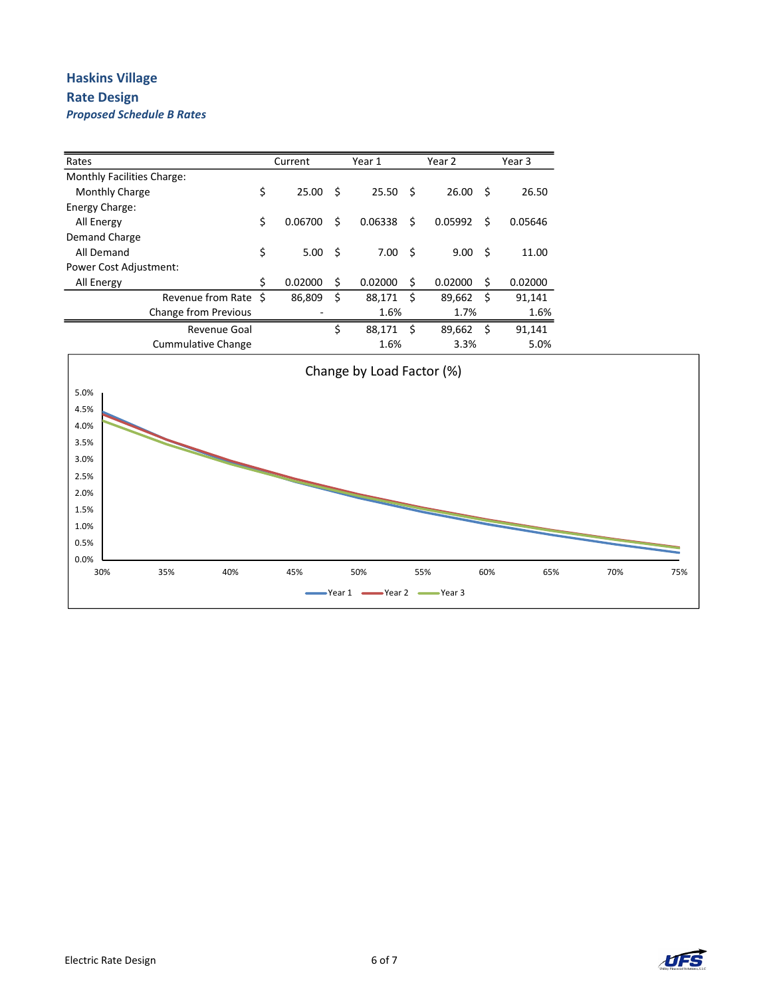#### Haskins Village Rate Design Proposed Schedule B Rates

| Rates                         |                             | Current       |     | Year 1  |    | Year 2  |    | Year 3  |
|-------------------------------|-----------------------------|---------------|-----|---------|----|---------|----|---------|
| Monthly Facilities Charge:    |                             |               |     |         |    |         |    |         |
| Monthly Charge                |                             | \$<br>25.00   | Ŝ   | 25.50   | S. | 26.00   | -S | 26.50   |
| Energy Charge:                |                             |               |     |         |    |         |    |         |
| All Energy                    |                             | \$<br>0.06700 | Ś   | 0.06338 | Ś  | 0.05992 | Ś  | 0.05646 |
| Demand Charge                 |                             |               |     |         |    |         |    |         |
| All Demand                    |                             | \$<br>5.00    | -\$ | 7.00    | S. | 9.00    | Ŝ. | 11.00   |
| <b>Power Cost Adjustment:</b> |                             |               |     |         |    |         |    |         |
| All Energy                    |                             | \$<br>0.02000 | Ś   | 0.02000 | S  | 0.02000 | Ś  | 0.02000 |
|                               | Revenue from Rate \$        | 86,809        | \$  | 88,171  | Ś  | 89,662  | Ś  | 91.141  |
|                               | <b>Change from Previous</b> |               |     | 1.6%    |    | 1.7%    |    | 1.6%    |
|                               | Revenue Goal                |               | \$  | 88,171  | Ś  | 89,662  | Ś  | 91.141  |
|                               | Cummulative Change          |               |     | 1.6%    |    | 3.3%    |    | 5.0%    |